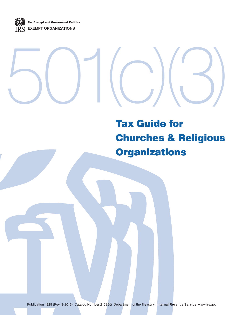Tax Exempt and Government Entities **EXEMPT ORGANIZATIONS**

# 501(c)(3)

# Tax Guide for Churches & Religious **Organizations**

Publication 1828 (Rev. 8-2015) Catalog Number 21096G Department of the Treasury **Internal Revenue Service** www.irs.gov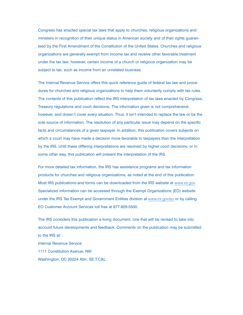Congress has enacted special tax laws that apply to churches, religious organizations and ministers in recognition of their unique status in American society and of their rights guaranteed by the First Amendment of the Constitution of the United States. Churches and religious organizations are generally exempt from income tax and receive other favorable treatment under the tax law; however, certain income of a church or religious organization may be subject to tax, such as income from an unrelated business.

The Internal Revenue Service offers this quick reference guide of federal tax law and procedures for churches and religious organizations to help them voluntarily comply with tax rules. The contents of this publication reflect the IRS interpretation of tax laws enacted by Congress, Treasury regulations and court decisions. The information given is not comprehensive, however, and doesn't cover every situation. Thus, it isn't intended to replace the law or be the sole source of information. The resolution of any particular issue may depend on the specific facts and circumstances of a given taxpayer. In addition, this publication covers subjects on which a court may have made a decision more favorable to taxpayers than the interpretation by the IRS. Until these differing interpretations are resolved by higher court decisions, or in some other way, this publication will present the interpretation of the IRS.

For more detailed tax information, the IRS has assistance programs and tax information products for churches and religious organizations, as noted at the end of this publication. Most IRS publications and forms can be downloaded from the IRS website at www.irs.gov. Specialized information can be accessed through the Exempt Organizations (EO) website under the IRS Tax Exempt and Government Entities division at www.irs.gov/eo or by calling EO Customer Account Services toll free at 877-829-5500.

The IRS considers this publication a living document, one that will be revised to take into account future developments and feedback. Comments on the publication may be submitted to the IRS at: Internal Revenue Service 1111 Constitution Avenue, NW Washington, DC 20224 Attn: SE:T:C&L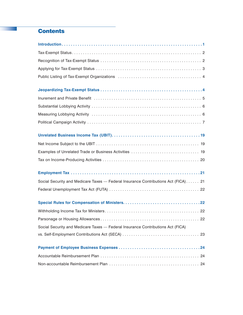# **Contents**

| Social Security and Medicare Taxes — Federal Insurance Contributions Act (FICA) 21 |
|------------------------------------------------------------------------------------|
|                                                                                    |
|                                                                                    |
|                                                                                    |
|                                                                                    |
| Social Security and Medicare Taxes - Federal Insurance Contributions Act (FICA)    |
|                                                                                    |
|                                                                                    |
|                                                                                    |
|                                                                                    |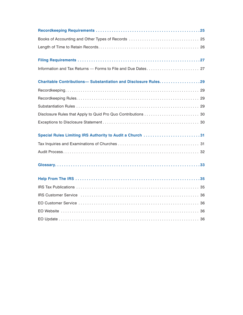| <b>Charitable Contributions- Substantiation and Disclosure Rules29</b> |
|------------------------------------------------------------------------|
|                                                                        |
|                                                                        |
|                                                                        |
|                                                                        |
|                                                                        |
| Special Rules Limiting IRS Authority to Audit a Church 31              |
|                                                                        |
|                                                                        |
|                                                                        |
|                                                                        |
|                                                                        |
|                                                                        |
|                                                                        |
|                                                                        |
|                                                                        |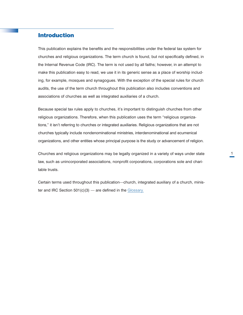# <span id="page-4-0"></span>Introduction

This publication explains the benefits and the responsibilities under the federal tax system for churches and religious organizations. The term church is found, but not specifically defined, in the Internal Revenue Code (IRC). The term is not used by all faiths; however, in an attempt to make this publication easy to read, we use it in its generic sense as a place of worship including, for example, mosques and synagogues. With the exception of the special rules for church audits, the use of the term church throughout this publication also includes conventions and associations of churches as well as integrated auxiliaries of a church.

Because special tax rules apply to churches, it's important to distinguish churches from other religious organizations. Therefore, when this publication uses the term "religious organizations," it isn't referring to churches or integrated auxiliaries. Religious organizations that are not churches typically include nondenominational ministries, interdenominational and ecumenical organizations, and other entities whose principal purpose is the study or advancement of religion.

Churches and religious organizations may be legally organized in a variety of ways under state law, such as unincorporated associations, nonprofit corporations, corporations sole and charitable trusts.

Certain terms used throughout this publication—church, integrated auxiliary of a church, minister and IRC Section  $501(c)(3)$  — are defined in the [Glossary.](#page-36-0)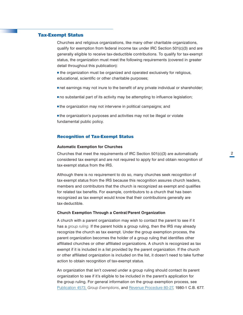# <span id="page-5-0"></span>Tax-Exempt Status

Churches and religious organizations, like many other charitable organizations, qualify for exemption from federal income tax under IRC Section 501(c)(3) and are generally eligible to receive tax-deductible contributions. To qualify for tax-exempt status, the organization must meet the following requirements (covered in greater detail throughout this publication):

 $\blacksquare$  the organization must be organized and operated exclusively for religious, educational, scientific or other charitable purposes;

- net earnings may not inure to the benefit of any private individual or shareholder;
- $\blacksquare$  no substantial part of its activity may be attempting to influence legislation;
- $\blacksquare$  the organization may not intervene in political campaigns; and

<sup>n</sup>the organization's purposes and activities may not be illegal or violate fundamental public policy.

## Recognition of Tax-Exempt Status

#### **Automatic Exemption for Churches**

Churches that meet the requirements of IRC Section 501(c)(3) are automatically considered tax exempt and are not required to apply for and obtain recognition of tax-exempt status from the IRS.

Although there is no requirement to do so, many churches seek recognition of tax-exempt status from the IRS because this recognition assures church leaders, members and contributors that the church is recognized as exempt and qualifies for related tax benefits. For example, contributors to a church that has been recognized as tax exempt would know that their contributions generally are tax-deductible.

#### **Church Exemption Through a Central/Parent Organization**

A church with a parent organization may wish to contact the parent to see if it has a *group ruling.* If the parent holds a group ruling, then the IRS may already recognize the church as tax exempt. Under the group exemption process, the parent organization becomes the holder of a group ruling that identifies other affiliated churches or other affiliated organizations. A church is recognized as tax exempt if it is included in a list provided by the parent organization. If the church or other affiliated organization is included on the list, it doesn't need to take further action to obtain recognition of tax-exempt status.

An organization that isn't covered under a group ruling should contact its parent organization to see if it's eligible to be included in the parent's application for the group ruling. For general information on the group exemption process, see [Publication 4573,](http://www.irs.gov/pub/irs-pdf/p4573.pdf) *Group Exemptions*, and [Revenue Procedure 80-27](http://www.irs.gov/pub/irs-tege/rp1980-27.pdf), 1980-1 C.B. 677.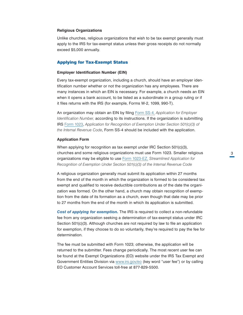#### <span id="page-6-0"></span>**Religious Organizations**

Unlike churches, religious organizations that wish to be tax exempt generally must apply to the IRS for tax-exempt status unless their gross receipts do not normally exceed \$5,000 annually.

# Applying for Tax-Exempt Status

#### **Employer Identification Number (EIN)**

Every tax-exempt organization, including a church, should have an employer identification number whether or not the organization has any employees. There are many instances in which an EIN is necessary. For example, a church needs an EIN when it opens a bank account, to be listed as a subordinate in a group ruling or if it files returns with the IRS (for example, Forms W-2, 1099, 990-T).

An organization may obtain an EIN by filing [Form SS-4,](http://www.irs.gov/pub/irs-pdf/fss4.pdf) *Application for Employer Identification Number,* according to its instructions. If the organization is submitting IRS [Form 1023](http://www.irs.gov/pub/irs-pdf/f1023.pdf), *Application for Recognition of Exemption Under Section 501(c)(3) of the Internal Revenue Code*, Form SS-4 should be included with the application.

#### **Application Form**

When applying for recognition as tax exempt under IRC Section 501(c)(3), churches and some religious organizations must use Form 1023. Smaller religious organizations may be eligible to use [Form 1023-EZ,](http://www.irs.gov/pub/irs-pdf/f1023ez.pdf) *Streamlined Application for Recognition of Exemption Under Section 501(c)(3) of the Internal Revenue Code*

A religious organization generally must submit its application within 27 months from the end of the month in which the organization is formed to be considered tax exempt and qualified to receive deductible contributions as of the date the organization was formed. On the other hand, a church may obtain recognition of exemption from the date of its formation as a church, even though that date may be prior to 27 months from the end of the month in which its application is submitted.

*Cost of applying for exemption.* The IRS is required to collect a non-refundable fee from any organization seeking a determination of tax-exempt status under IRC Section 501(c)(3). Although churches are not required by law to file an application for exemption, if they choose to do so voluntarily, they're required to pay the fee for determination.

The fee must be submitted with Form 1023; otherwise, the application will be returned to the submitter. Fees change periodically. The most recent user fee can be found at the Exempt Organizations (EO) website under the IRS Tax Exempt and Government Entities Division via [www.irs.gov/eo](http://www.irs.gov/eo) (key word "user fee") or by calling EO Customer Account Services toll-free at 877-829-5500.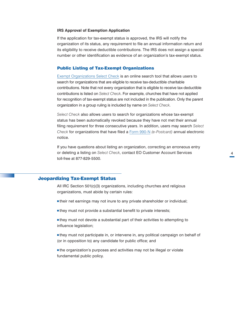#### <span id="page-7-0"></span>**IRS Approval of Exemption Application**

If the application for tax-exempt status is approved, the IRS will notify the organization of its status, any requirement to file an annual information return and its eligibility to receive deductible contributions. The IRS does not assign a special number or other identification as evidence of an organization's tax-exempt status.

#### Public Listing of Tax-Exempt Organizations

[Exempt Organizations Select Check](http://www.irs.gov/Charities-&-Non-Profits/Exempt-Organizations-Select-Check) is an online search tool that allows users to search for organizations that are eligible to receive tax-deductible charitable contributions. Note that not every organization that is eligible to receive tax-deductible contributions is listed on *Select Check*. For example, churches that have not applied for recognition of tax-exempt status are not included in the publication. Only the parent organization in a group ruling is included by name on *Select Check*.

*Select Check* also allows users to search for organizations whose tax-exempt status has been automatically revoked because they have not met their annual filing requirement for three consecutive years. In addition, users may search *Select Check* for organizations that have filed a [Form 990-N](http://www.irs.gov/Charities-&-Non-Profits/Annual-Electronic-Filing-Requirement-for-Small-Exempt-Organizations-Form-990-N-(e-Postcard)) *(e-Postcard)* annual electronic notice.

If you have questions about listing an organization, correcting an erroneous entry or deleting a listing on *Select Check*, contact EO Customer Account Services toll-free at 877-829-5500.

#### Jeopardizing Tax-Exempt Status

All IRC Section 501(c)(3) organizations, including churches and religious organizations, must abide by certain rules:

- ntheir net earnings may not inure to any private shareholder or individual;
- $\blacksquare$  they must not provide a substantial benefit to private interests;

 $\blacksquare$  they must not devote a substantial part of their activities to attempting to influence legislation;

 $\blacksquare$  they must not participate in, or intervene in, any political campaign on behalf of (or in opposition to) any candidate for public office; and

 $\blacksquare$  the organization's purposes and activities may not be illegal or violate fundamental public policy.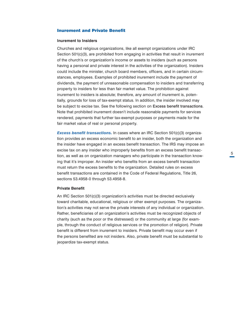#### <span id="page-8-0"></span>Inurement and Private Benefit

#### **Inurement to Insiders**

Churches and religious organizations, like all exempt organizations under IRC Section 501(c)(3), are prohibited from engaging in activities that result in inurement of the church's or organization's income or assets to insiders (such as persons having a personal and private interest in the activities of the organization). Insiders could include the minister, church board members, officers, and in certain circumstances, employees. Examples of prohibited inurement include the payment of dividends, the payment of unreasonable compensation to insiders and transferring property to insiders for less than fair market value. The prohibition against inurement to insiders is absolute; therefore, any amount of inurement is, potentially, grounds for loss of tax-exempt status. In addition, the insider involved may be subject to excise tax. See the following section on Excess benefit transactions. Note that prohibited inurement doesn't include reasonable payments for services rendered, payments that further tax-exempt purposes or payments made for the fair market value of real or personal property.

**Excess benefit transactions.** In cases where an IRC Section 501(c)(3) organization provides an excess economic benefit to an insider, both the organization and the insider have engaged in an excess benefit transaction. The IRS may impose an excise tax on any insider who improperly benefits from an excess benefit transaction, as well as on organization managers who participate in the transaction knowing that it's improper. An insider who benefits from an excess benefit transaction must return the excess benefits to the organization. Detailed rules on excess benefit transactions are contained in the Code of Federal Regulations, Title 26, sections 53.4958-0 through 53.4958-8.

# **Private Benefit**

An IRC Section 501(c)(3) organization's activities must be directed exclusively toward charitable, educational, religious or other exempt purposes. The organization's activities may not serve the private interests of any individual or organization. Rather, beneficiaries of an organization's activities must be recognized objects of charity (such as the poor or the distressed) or the community at large (for example, through the conduct of religious services or the promotion of religion). Private benefit is different from inurement to insiders. Private benefit may occur even if the persons benefited are not insiders. Also, private benefit must be substantial to jeopardize tax-exempt status.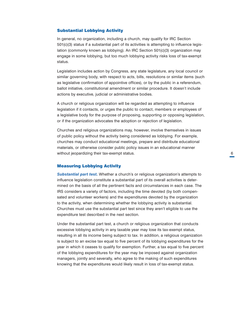# <span id="page-9-0"></span>Substantial Lobbying Activity

In general, no organization, including a church, may qualify for IRC Section 501(c)(3) status if a substantial part of its activities is attempting to influence legislation (commonly known as lobbying). An IRC Section 501(c)(3) organization may engage in some lobbying, but too much lobbying activity risks loss of tax-exempt status.

Legislation includes action by Congress, any state legislature, any local council or similar governing body, with respect to acts, bills, resolutions or similar items (such as legislative confirmation of appointive offices), or by the public in a referendum, ballot initiative, constitutional amendment or similar procedure. It doesn't include actions by executive, judicial or administrative bodies.

A church or religious organization will be regarded as attempting to influence legislation if it contacts, or urges the public to contact, members or employees of a legislative body for the purpose of proposing, supporting or opposing legislation, or if the organization advocates the adoption or rejection of legislation.

Churches and religious organizations may, however, involve themselves in issues of public policy without the activity being considered as lobbying. For example, churches may conduct educational meetings, prepare and distribute educational materials, or otherwise consider public policy issues in an educational manner without jeopardizing their tax-exempt status.

# Measuring Lobbying Activity

*Substantial part test.* Whether a church's or religious organization's attempts to influence legislation constitute a substantial part of its overall activities is determined on the basis of all the pertinent facts and circumstances in each case. The IRS considers a variety of factors, including the time devoted (by both compensated and volunteer workers) and the expenditures devoted by the organization to the activity, when determining whether the lobbying activity is substantial. Churches must use the substantial part test since they aren't eligible to use the expenditure test described in the next section.

Under the substantial part test, a church or religious organization that conducts excessive lobbying activity in any taxable year may lose its tax-exempt status, resulting in all its income being subject to tax. In addition, a religious organization is subject to an excise tax equal to five percent of its lobbying expenditures for the year in which it ceases to qualify for exemption. Further, a tax equal to five percent of the lobbying expenditures for the year may be imposed against organization managers, jointly and severally, who agree to the making of such expenditures knowing that the expenditures would likely result in loss of tax-exempt status.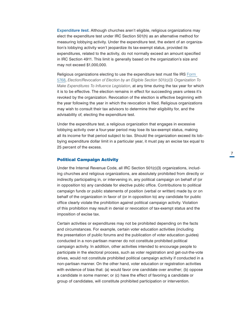<span id="page-10-0"></span>Expendi*ture test.* Although churches aren't eligible, religious organizations may elect the expenditure test under IRC Section 501(h) as an alternative method for measuring lobbying activity. Under the expenditure test, the extent of an organization's lobbying activity won't jeopardize its tax-exempt status, provided its expenditures, related to the activity, do not normally exceed an amount specified in IRC Section 4911. This limit is generally based on the organization's size and may not exceed \$1,000,000.

Religious organizations electing to use the expenditure test must file IRS [Form](http://www.irs.gov/pub/irs-pdf/f5768.pdf)  [5768](http://www.irs.gov/pub/irs-pdf/f5768.pdf), *Election/Revocation of Election by an Eligible Section 501(c)(3) Organization To Make Expenditures To Influence Legislation*, at any time during the tax year for which it is to be effective. The election remains in effect for succeeding years unless it's revoked by the organization. Revocation of the election is effective beginning with the year following the year in which the revocation is filed. Religious organizations may wish to consult their tax advisors to determine their eligibility for, and the advisability of, electing the expenditure test.

Under the expenditure test, a religious organization that engages in excessive lobbying activity over a four-year period may lose its tax-exempt status, making all its income for that period subject to tax. Should the organization exceed its lobbying expenditure dollar limit in a particular year, it must pay an excise tax equal to 25 percent of the excess.

#### Political Campaign Activity

Under the Internal Revenue Code, all IRC Section 501(c)(3) organizations, including churches and religious organizations, are absolutely prohibited from directly or indirectly participating in, or intervening in, any political campaign on behalf of (or in opposition to) any candidate for elective public office. Contributions to political campaign funds or public statements of position (verbal or written) made by or on behalf of the organization in favor of (or in opposition to) any candidate for public office clearly violate the prohibition against political campaign activity. Violation of this prohibition may result in denial or revocation of tax-exempt status and the imposition of excise tax.

Certain activities or expenditures may not be prohibited depending on the facts and circumstances. For example, certain voter education activities (including the presentation of public forums and the publication of voter education guides) conducted in a non-partisan manner do not constitute prohibited political campaign activity. In addition, other activities intended to encourage people to participate in the electoral process, such as voter registration and get-out-the-vote drives, would not constitute prohibited political campaign activity if conducted in a non-partisan manner. On the other hand, voter education or registration activities with evidence of bias that: (a) would favor one candidate over another; (b) oppose a candidate in some manner; or (c) have the effect of favoring a candidate or group of candidates, will constitute prohibited participation or intervention.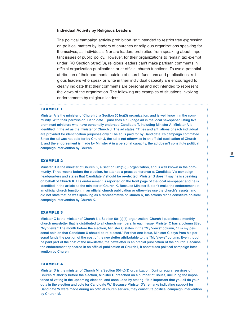#### **Individual Activity by Religious Leaders**

The political campaign activity prohibition isn't intended to restrict free expression on political matters by leaders of churches or religious organizations speaking for themselves, as individuals. Nor are leaders prohibited from speaking about important issues of public policy. However, for their organizations to remain tax exempt under IRC Section 501(c)(3), religious leaders can't make partisan comments in official organization publications or at official church functions. To avoid potential attribution of their comments outside of church functions and publications, religious leaders who speak or write in their individual capacity are encouraged to clearly indicate that their comments are personal and not intended to represent the views of the organization. The following are examples of situations involving endorsements by religious leaders.

#### EXAMPLE 1

Minister A is the minister of Church J, a Section 501(c)(3) organization, and is well known in the community. With their permission, Candidate T publishes a full-page ad in the local newspaper listing five prominent ministers who have personally endorsed Candidate T, including Minister A. Minister A is identified in the ad as the minister of Church J. The ad states, "Titles and affiliations of each individual are provided for identification purposes only." The ad is paid for by Candidate T's campaign committee. Since the ad was not paid for by Church J, the ad is not otherwise in an official publication of Church J, and the endorsement is made by Minister A in a personal capacity, the ad doesn't constitute political campaign intervention by Church J.

#### EXAMPLE 2

Minister B is the minister of Church K, a Section 501(c)(3) organization, and is well known in the community. Three weeks before the election, he attends a press conference at Candidate V's campaign headquarters and states that Candidate V should be re-elected. Minister B doesn't say he is speaking on behalf of Church K. His endorsement is reported on the front page of the local newspaper and he is identified in the article as the minister of Church K. Because Minister B didn't make the endorsement at an official church function, in an official church publication or otherwise use the church's assets, and did not state that he was speaking as a representative of Church K, his actions didn't constitute political campaign intervention by Church K.

#### EXAMPLE 3

Minister C is the minister of Church I, a Section 501(c)(3) organization. Church I publishes a monthly church newsletter that is distributed to all church members. In each issue, Minister C has a column titled "My Views." The month before the election, Minister C states in the "My Views" column, "It is my personal opinion that Candidate U should be re-elected." For that one issue, Minister C pays from his personal funds the portion of the cost of the newsletter attributable to the "My Views" column. Even though he paid part of the cost of the newsletter, the newsletter is an official publication of the church. Because the endorsement appeared in an official publication of Church I, it constitutes political campaign intervention by Church I.

#### EXAMPLE 4

Minister D is the minister of Church M, a Section 501(c)(3) organization. During regular services of Church M shortly before the election, Minister D preached on a number of issues, including the importance of voting in the upcoming election, and concluded by stating, "It is important that you all do your duty in the election and vote for Candidate W." Because Minister D's remarks indicating support for Candidate W were made during an official church service, they constitute political campaign intervention by Church M.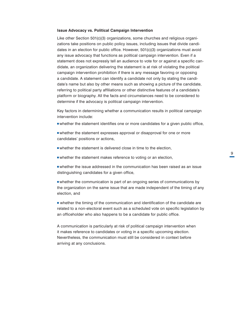#### **Issue Advocacy vs. Political Campaign Intervention**

Like other Section 501(c)(3) organizations, some churches and religious organizations take positions on public policy issues, including issues that divide candidates in an election for public office. However, 501(c)(3) organizations must avoid any issue advocacy that functions as political campaign intervention. Even if a statement does not expressly tell an audience to vote for or against a specific candidate, an organization delivering the statement is at risk of violating the political campaign intervention prohibition if there is any message favoring or opposing a candidate. A statement can identify a candidate not only by stating the candidate's name but also by other means such as showing a picture of the candidate, referring to political party affiliations or other distinctive features of a candidate's platform or biography. All the facts and circumstances need to be considered to determine if the advocacy is political campaign intervention.

Key factors in determining whether a communication results in political campaign intervention include:

- whether the statement identifies one or more candidates for a given public office,
- whether the statement expresses approval or disapproval for one or more candidates' positions or actions,
- whether the statement is delivered close in time to the election,
- whether the statement makes reference to voting or an election,
- whether the issue addressed in the communication has been raised as an issue distinguishing candidates for a given office,
- whether the communication is part of an ongoing series of communications by the organization on the same issue that are made independent of the timing of any election, and
- whether the timing of the communication and identification of the candidate are related to a non-electoral event such as a scheduled vote on specific legislation by an officeholder who also happens to be a candidate for public office.

A communication is particularly at risk of political campaign intervention when it makes reference to candidates or voting in a specific upcoming election. Nevertheless, the communication must still be considered in context before arriving at any conclusions.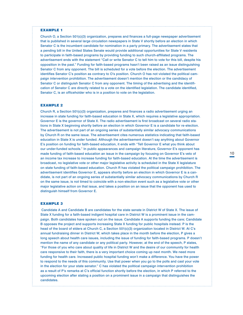#### EXAMPLE 1

Church O, a Section 501(c)(3) organization, prepares and finances a full-page newspaper advertisement that is published in several large circulation newspapers in State V shortly before an election in which Senator C is the incumbent candidate for nomination in a party primary. The advertisement states that a pending bill in the United States Senate would provide additional opportunities for State V residents to participate in faith-based programs by providing funding to such church-affiliated programs. The advertisement ends with the statement "Call or write Senator C to tell him to vote for this bill, despite his opposition in the past." Funding for faith-based programs hasn't been raised as an issue distinguishing Senator C from any opponent. The bill is scheduled for a vote before the election. The advertisement identifies Senator C's position as contrary to O's position. Church O has not violated the political campaign intervention prohibition. The advertisement doesn't mention the election or the candidacy of Senator C or distinguish Senator C from any opponent. The timing of the advertising and the identification of Senator C are directly related to a vote on the identified legislation. The candidate identified, Senator C, is an officeholder who is in a position to vote on the legislation.

#### EXAMPLE 2

Church R, a Section 501(c)(3) organization, prepares and finances a radio advertisement urging an increase in state funding for faith-based education in State X, which requires a legislative appropriation. Governor E is the governor of State X. The radio advertisement is first broadcast on several radio stations in State X beginning shortly before an election in which Governor E is a candidate for re-election. The advertisement is not part of an ongoing series of substantially similar advocacy communications by Church R on the same issue. The advertisement cites numerous statistics indicating that faith-based education in State X is under funded. Although the advertisement doesn't say anything about Governor E's position on funding for faith-based education, it ends with "Tell Governor E what you think about our under-funded schools." In public appearances and campaign literature, Governor E's opponent has made funding of faith-based education an issue in the campaign by focusing on Governor E's veto of an income tax increase to increase funding for faith-based education. At the time the advertisement is broadcast, no legislative vote or other major legislative activity is scheduled in the State X legislature on state funding of faith-based education. Church R has violated the political campaign prohibition. The advertisement identifies Governor E, appears shortly before an election in which Governor E is a candidate, is not part of an ongoing series of substantially similar advocacy communications by Church R on the same issue, is not timed to coincide with a non-election event such as a legislative vote or other major legislative action on that issue, and takes a position on an issue that the opponent has used to distinguish himself from Governor E.

#### EXAMPLE 3

 Candidate A and Candidate B are candidates for the state senate in District W of State X. The issue of State X funding for a faith-based indigent hospital care in District W is a prominent issue in the campaign. Both candidates have spoken out on the issue. Candidate A supports funding the care; Candidate B opposes the project and supports increasing State X funding for public hospitals instead. P is the head of the board of elders at Church C, a Section 501(c)(3) organization located in District W. At C's annual fundraising dinner in District W, which takes place in the month before the election, P gives a long speech about health care issues, including the issue of funding for faith-based programs. P doesn't mention the name of any candidate or any political party. However, at the end of the speech, P states, "For those of you who care about quality of life in District W and the desire of our community for health care responsive to their faith, there is a very important choice coming up next month. We need more funding for health care. Increased public hospital funding won't make a difference. You have the power to respond to the needs of this community. Use that power when you go to the polls and cast your vote in the election for your state senator." C has violated the political campaign intervention prohibition as a result of P's remarks at C's official function shortly before the election, in which P referred to the upcoming election after stating a position on a prominent issue in a campaign that distinguishes the candidates.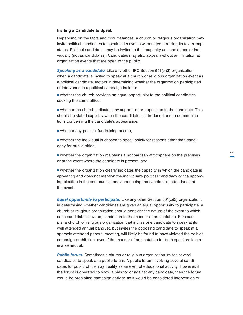#### **Inviting a Candidate to Speak**

Depending on the facts and circumstances, a church or religious organization may invite political candidates to speak at its events without jeopardizing its tax-exempt status. Political candidates may be invited in their capacity as candidates, or individually (not as candidates). Candidates may also appear without an invitation at organization events that are open to the public.

*Speaking as a candidate*. Like any other IRC Section 501(c)(3) organization, when a candidate is invited to speak at a church or religious organization event as a political candidate, factors in determining whether the organization participated or intervened in a political campaign include:

<sup>n</sup> whether the church provides an equal opportunity to the political candidates seeking the same office,

<sup>n</sup> whether the church indicates any support of or opposition to the candidate. This should be stated explicitly when the candidate is introduced and in communications concerning the candidate's appearance,

 $\blacksquare$  whether any political fundraising occurs,

<sup>n</sup> whether the individual is chosen to speak solely for reasons other than candidacy for public office,

<sup>n</sup> whether the organization maintains a nonpartisan atmosphere on the premises or at the event where the candidate is present, and

 $\blacksquare$  whether the organization clearly indicates the capacity in which the candidate is appearing and does not mention the individual's political candidacy or the upcoming election in the communications announcing the candidate's attendance at the event.

*Equal opportunity to participate.* Like any other Section 501(c)(3) organization, in determining whether candidates are given an equal opportunity to participate, a church or religious organization should consider the nature of the event to which each candidate is invited, in addition to the manner of presentation. For example, a church or religious organization that invites one candidate to speak at its well attended annual banquet, but invites the opposing candidate to speak at a sparsely attended general meeting, will likely be found to have violated the political campaign prohibition, even if the manner of presentation for both speakers is otherwise neutral.

**Public forum.** Sometimes a church or religious organization invites several candidates to speak at a public forum. A public forum involving several candidates for public office may qualify as an exempt educational activity. However, if the forum is operated to show a bias for or against any candidate, then the forum would be prohibited campaign activity, as it would be considered intervention or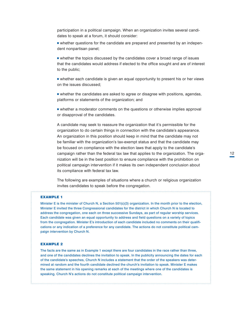participation in a political campaign. When an organization invites several candidates to speak at a forum, it should consider:

• whether questions for the candidate are prepared and presented by an independent nonpartisan panel;

<sup>n</sup> whether the topics discussed by the candidates cover a broad range of issues that the candidates would address if elected to the office sought and are of interest to the public;

• whether each candidate is given an equal opportunity to present his or her views on the issues discussed;

**n** whether the candidates are asked to agree or disagree with positions, agendas, platforms or statements of the organization; and

**n** whether a moderator comments on the questions or otherwise implies approval or disapproval of the candidates.

A candidate may seek to reassure the organization that it's permissible for the organization to do certain things in connection with the candidate's appearance. An organization in this position should keep in mind that the candidate may not be familiar with the organization's tax-exempt status and that the candidate may be focused on compliance with the election laws that apply to the candidate's campaign rather than the federal tax law that applies to the organization. The organization will be in the best position to ensure compliance with the prohibition on political campaign intervention if it makes its own independent conclusion about its compliance with federal tax law.

The following are examples of situations where a church or religious organization invites candidates to speak before the congregation. 

#### EXAMPLE 1

Minister E is the minister of Church N, a Section 501(c)(3) organization. In the month prior to the election, Minister E invited the three Congressional candidates for the district in which Church N is located to address the congregation, one each on three successive Sundays, as part of regular worship services. Each candidate was given an equal opportunity to address and field questions on a variety of topics from the congregation. Minister E's introduction of each candidate included no comments on their qualifications or any indication of a preference for any candidate. The actions do not constitute political campaign intervention by Church N.

#### EXAMPLE 2

The facts are the same as in Example 1 except there are four candidates in the race rather than three, and one of the candidates declines the invitation to speak. In the publicity announcing the dates for each of the candidate's speeches, Church N includes a statement that the order of the speakers was determined at random and the fourth candidate declined the church's invitation to speak. Minister E makes the same statement in his opening remarks at each of the meetings where one of the candidates is speaking. Church N's actions do not constitute political campaign intervention.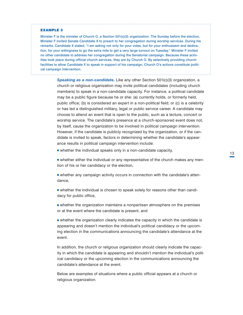#### EXAMPLE 3

Minister F is the minister of Church O, a Section 501(c)(3) organization. The Sunday before the election, Minister F invited Senate Candidate X to preach to her congregation during worship services. During his remarks, Candidate X stated, "I am asking not only for your votes, but for your enthusiasm and dedication, for your willingness to go the extra mile to get a very large turnout on Tuesday." Minister F invited no other candidate to address her congregation during the Senatorial campaign. Because these activities took place during official church services, they are by Church O. By selectively providing church facilities to allow Candidate X to speak in support of his campaign, Church O's actions constitute political campaign intervention.

> **Speaking as a non-candidate.** Like any other Section 501(c)(3) organization, a church or religious organization may invite political candidates (including church members) to speak in a non-candidate capacity. For instance, a political candidate may be a public figure because he or she: (a) currently holds, or formerly held, public office; (b) is considered an expert in a non-political field; or (c) is a celebrity or has led a distinguished military, legal or public service career. A candidate may choose to attend an event that is open to the public, such as a lecture, concert or worship service. The candidate's presence at a church-sponsored event does not, by itself, cause the organization to be involved in political campaign intervention. However, if the candidate is publicly recognized by the organization, or if the candidate is invited to speak, factors in determining whether the candidate's appearance results in political campaign intervention include:

 $\blacksquare$  whether the individual speaks only in a non-candidate capacity,

<sup>n</sup> whether either the individual or any representative of the church makes any mention of his or her candidacy or the election,

<sup>n</sup> whether any campaign activity occurs in connection with the candidate's attendance,

<sup>n</sup> whether the individual is chosen to speak solely for reasons other than candidacy for public office,

**n** whether the organization maintains a nonpartisan atmosphere on the premises or at the event where the candidate is present, and

<sup>n</sup> whether the organization clearly indicates the capacity in which the candidate is appearing and doesn't mention the individual's political candidacy or the upcoming election in the communications announcing the candidate's attendance at the event.

In addition, the church or religious organization should clearly indicate the capacity in which the candidate is appearing and shouldn't mention the individual's political candidacy or the upcoming election in the communications announcing the candidate's attendance at the event.

Below are examples of situations where a public official appears at a church or religious organization.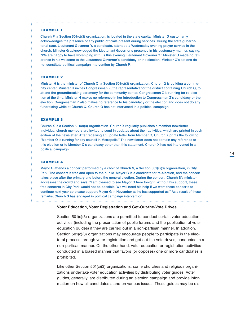#### EXAMPLE 1

Church P, a Section 501(c)(3) organization, is located in the state capital. Minister G customarily acknowledges the presence of any public officials present during services. During the state gubernatorial race, Lieutenant Governor Y, a candidate, attended a Wednesday evening prayer service in the church. Minister G acknowledged the Lieutenant Governor's presence in his customary manner, saying, "We are happy to have worshiping with us this evening Lieutenant Governor Y." Minister G made no reference in his welcome to the Lieutenant Governor's candidacy or the election. Minister G's actions do not constitute political campaign intervention by Church P.

#### EXAMPLE 2

Minister H is the minister of Church Q, a Section 501(c)(3) organization. Church Q is building a community center. Minister H invites Congressman Z, the representative for the district containing Church Q, to attend the groundbreaking ceremony for the community center. Congressman Z is running for re-election at the time. Minister H makes no reference in her introduction to Congressman Z's candidacy or the election. Congressman Z also makes no reference to his candidacy or the election and does not do any fundraising while at Church Q. Church Q has not intervened in a political campaign

#### EXAMPLE 3

Church X is a Section 501(c)(3) organization. Church X regularly publishes a member newsletter. Individual church members are invited to send in updates about their activities, which are printed in each edition of the newsletter. After receiving an update letter from Member Q, Church X prints the following: "Member Q is running for city council in Metropolis." The newsletter does not contain any reference to this election or to Member Q's candidacy other than this statement. Church X has not intervened in a political campaign.

#### EXAMPLE 4

Mayor G attends a concert performed by a choir of Church S, a Section 501(c)(3) organization, in City Park. The concert is free and open to the public. Mayor G is a candidate for re-election, and the concert takes place after the primary and before the general election. During the concert, Church S's minister addresses the crowd and says, "I am pleased to see Mayor G here tonight. Without his support, these free concerts in City Park would not be possible. We will need his help if we want these concerts to continue next year so please support Mayor G in November as he has supported us." As a result of these remarks, Church S has engaged in political campaign intervention.

#### **Voter Education, Voter Registration and Get-Out-the-Vote Drives**

Section 501(c)(3) organizations are permitted to conduct certain voter education activities (including the presentation of public forums and the publication of voter education guides) if they are carried out in a non-partisan manner. In addition, Section 501(c)(3) organizations may encourage people to participate in the electoral process through voter registration and get-out-the-vote drives, conducted in a non-partisan manner. On the other hand, voter education or registration activities conducted in a biased manner that favors (or opposes) one or more candidates is prohibited.

Like other Section 501(c)(3) organizations, some churches and religious organizations undertake voter education activities by distributing voter guides. Voter guides, generally, are distributed during an election campaign and provide information on how all candidates stand on various issues. These guides may be dis-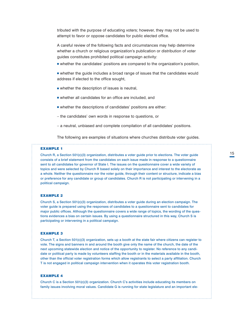tributed with the purpose of educating voters; however, they may not be used to attempt to favor or oppose candidates for public elected office.

A careful review of the following facts and circumstances may help determine whether a church or religious organization's publication or distribution of voter guides constitutes prohibited political campaign activity:

- **n** whether the candidates' positions are compared to the organization's position,
- <sup>n</sup> whether the guide includes a broad range of issues that the candidates would address if elected to the office sought,
- $\blacksquare$  whether the description of issues is neutral,
- $\blacksquare$  whether all candidates for an office are included, and
- $\blacksquare$  whether the descriptions of candidates' positions are either:
- the candidates' own words in response to questions, or
- a neutral, unbiased and complete compilation of all candidates' positions.

The following are examples of situations where churches distribute voter guides.

#### EXAMPLE 1

Church R, a Section 501(c)(3) organization, distributes a voter guide prior to elections. The voter guide consists of a brief statement from the candidates on each issue made in response to a questionnaire sent to all candidates for governor of State I. The issues on the questionnaire cover a wide variety of topics and were selected by Church R based solely on their importance and interest to the electorate as a whole. Neither the questionnaire nor the voter guide, through their content or structure, indicate a bias or preference for any candidate or group of candidates. Church R is not participating or intervening in a political campaign.

#### EXAMPLE 2

Church S, a Section 501(c)(3) organization, distributes a voter guide during an election campaign. The voter guide is prepared using the responses of candidates to a questionnaire sent to candidates for major public offices. Although the questionnaire covers a wide range of topics, the wording of the questions evidences a bias on certain issues. By using a questionnaire structured in this way, Church S is participating or intervening in a political campaign.

#### EXAMPLE 3

Church T, a Section 501(c)(3) organization, sets up a booth at the state fair where citizens can register to vote. The signs and banners in and around the booth give only the name of the church, the date of the next upcoming statewide election and notice of the opportunity to register. No reference to any candidate or political party is made by volunteers staffing the booth or in the materials available in the booth, other than the official voter registration forms which allow registrants to select a party affiliation. Church T is not engaged in political campaign intervention when it operates this voter registration booth.

#### EXAMPLE 4

Church C is a Section 501(c)(3) organization. Church C's activities include educating its members on family issues involving moral values. Candidate G is running for state legislature and an important ele-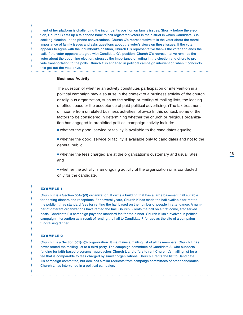ment of her platform is challenging the incumbent's position on family issues. Shortly before the election, Church C sets up a telephone bank to call registered voters in the district in which Candidate G is seeking election. In the phone conversations, Church C's representative tells the voter about the moral importance of family issues and asks questions about the voter's views on these issues. If the voter appears to agree with the incumbent's position, Church C's representative thanks the voter and ends the call. If the voter appears to agree with Candidate G's position, Church C's representative reminds the voter about the upcoming election, stresses the importance of voting in the election and offers to provide transportation to the polls. Church C is engaged in political campaign intervention when it conducts this get-out-the-vote drive.

#### **Business Activity**

The question of whether an activity constitutes participation or intervention in a political campaign may also arise in the context of a business activity of the church or religious organization, such as the selling or renting of mailing lists, the leasing of office space or the acceptance of paid political advertising. (The tax treatment of income from unrelated business activities follows.) In this context, some of the factors to be considered in determining whether the church or religious organization has engaged in prohibited political campaign activity include:

 $\blacksquare$  whether the good, service or facility is available to the candidates equally;

**n** whether the good, service or facility is available only to candidates and not to the general public;

<sup>n</sup> whether the fees charged are at the organization's customary and usual rates; and

<sup>n</sup> whether the activity is an ongoing activity of the organization or is conducted only for the candidate.

#### EXAMPLE 1

Church K is a Section 501(c)(3) organization. It owns a building that has a large basement hall suitable for hosting dinners and receptions. For several years, Church K has made the hall available for rent to the public. It has standard fees for renting the hall based on the number of people in attendance. A number of different organizations have rented the hall. Church K rents the hall on a first come, first served basis. Candidate P's campaign pays the standard fee for the dinner. Church K isn't involved in political campaign intervention as a result of renting the hall to Candidate P for use as the site of a campaign fundraising dinner.

#### EXAMPLE 2

Church L is a Section 501(c)(3) organization. It maintains a mailing list of all its members. Church L has never rented the mailing list to a third party. The campaign committee of Candidate A, who supports funding for faith-based programs, approaches Church L and offers to rent Church L's mailing list for a fee that is comparable to fees charged by similar organizations. Church L rents the list to Candidate A's campaign committee, but declines similar requests from campaign committees of other candidates. Church L has intervened in a political campaign.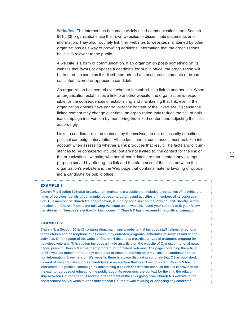*Websites.* The Internet has become a widely used communications tool. Section 501(c)(3) organizations use their own websites to disseminate statements and information. They also routinely link their websites to websites maintained by other organizations as a way of providing additional information that the organizations believe is relevant to the public.

A website is a form of communication. If an organization posts something on its website that favors or opposes a candidate for public office, the organization will be treated the same as if it distributed printed material, oral statements or broadcasts that favored or opposed a candidate.

An organization has control over whether it establishes a link to another site. When an organization establishes a link to another website, the organization is responsible for the consequences of establishing and maintaining that link, even if the organization doesn't have control over the content of the linked site. Because the linked content may change over time, an organization may reduce the risk of political campaign intervention by monitoring the linked content and adjusting the links accordingly.

Links to candidate-related material, by themselves, do not necessarily constitute political campaign intervention. All the facts and circumstances must be taken into account when assessing whether a link produces that result. The facts and circumstances to be considered include, but are not limited to, the context for the link on the organization's website, whether all candidates are represented, any exempt purpose served by offering the link and the directness of the links between the organization's website and the Web page that contains material favoring or opposing a candidate for public office.

#### EXAMPLE 1

. . . . . . . . . . . . . . . . . .

Church P, a Section 501(c)(3) organization, maintains a website that includes biographies of its ministers, times of services, details of community outreach programs and activities of members of its congregation. B, a member of Church P's congregation, is running for a seat on the town council. Shortly before the election, Church P posts the following message on its website, "Lend your support to B, your fellow parishioner, in Tuesday's election for town council." Church P has intervened in a political campaign.

#### EXAMPLE 2

Church N, a Section 501(c)(3) organization, maintains a website that includes staff listings, directions to the church and descriptions of its community outreach programs, schedules of services and school activities. On one page of the website, Church N describes a particular type of treatment program for homeless veterans. This section includes a link to an article on the website of O, a major national newspaper, praising Church N's treatment program for homeless veterans. The page containing the article on O's website doesn't refer to any candidate or election and has no direct links to candidate or election information. Elsewhere on O's website, there is a page displaying editorials that O has published. Several of the editorials endorse candidates in an election that hasn't yet occurred. Church N has not intervened in a political campaign by maintaining a link on O's website because the link is provided for the exempt purpose of educating the public about its programs; the context for the link, the relationship between Church N and O and the arrangement of the links going from Church N's website to the endorsement on O's website don't indicate that Church N was favoring or opposing any candidate.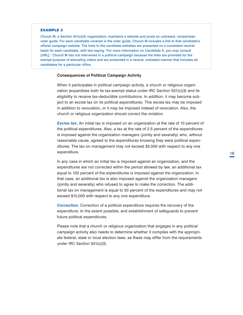#### EXAMPLE 3

Church M, a Section 501(c)(3) organization, maintains a website and posts an unbiased, nonpartisan voter guide. For each candidate covered in the voter guide, Church M includes a link to that candidate's official campaign website. The links to the candidate websites are presented on a consistent neutral basis for each candidate, with text saying "For more information on Candidate X, you may consult [URL]." Church M has not intervened in a political campaign because the links are provided for the exempt purpose of educating voters and are presented in a neutral, unbiased manner that includes all candidates for a particular office.

#### **Consequences of Political Campaign Activity**

When it participates in political campaign activity, a church or religious organization jeopardizes both its tax-exempt status under IRC Section 501(c)(3) and its eligibility to receive tax-deductible contributions. In addition, it may become subject to an excise tax on its political expenditures. This excise tax may be imposed in addition to revocation, or it may be imposed instead of revocation. Also, the church or religious organization should correct the violation.

*Excise tax.* An initial tax is imposed on an organization at the rate of 10 percent of the political expenditures. Also, a tax at the rate of 2.5 percent of the expenditures is imposed against the organization managers (jointly and severally) who, without reasonable cause, agreed to the expenditures knowing they were political expenditures. The tax on management may not exceed \$5,000 with respect to any one expenditure.

In any case in which an initial tax is imposed against an organization, and the expenditures are not corrected within the period allowed by law, an additional tax equal to 100 percent of the expenditures is imposed against the organization. In that case, an additional tax is also imposed against the organization managers (jointly and severally) who refused to agree to make the correction. The additional tax on management is equal to 50 percent of the expenditures and may not exceed \$10,000 with respect to any one expenditure.

**Correction.** Correction of a political expenditure requires the recovery of the expenditure, to the extent possible, and establishment of safeguards to prevent future political expenditures.

Please note that a church or religious organization that engages in any political campaign activity also needs to determine whether it complies with the appropriate federal, state or local election laws, as these may differ from the requirements under IRC Section 501(c)(3).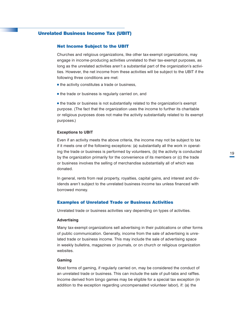# <span id="page-22-0"></span>Unrelated Business Income Tax (UBIT)

#### Net Income Subject to the UBIT

Churches and religious organizations, like other tax-exempt organizations, may engage in income-producing activities unrelated to their tax-exempt purposes, as long as the unrelated activities aren't a substantial part of the organization's activities. However, the net income from these activities will be subject to the UBIT if the following three conditions are met:

- $\blacksquare$  the activity constitutes a trade or business,
- $\blacksquare$  the trade or business is regularly carried on, and

<sup>n</sup> the trade or business is not substantially related to the organization's exempt purpose. (The fact that the organization uses the income to further its charitable or religious purposes does not make the activity substantially related to its exempt purposes.)

#### **Exceptions to UBIT**

Even if an activity meets the above criteria, the income may not be subject to tax if it meets one of the following exceptions: (a) substantially all the work in operating the trade or business is performed by volunteers, (b) the activity is conducted by the organization primarily for the convenience of its members or (c) the trade or business involves the selling of merchandise substantially all of which was donated.

In general, rents from real property, royalties, capital gains, and interest and dividends aren't subject to the unrelated business income tax unless financed with borrowed money.

#### Examples of Unrelated Trade or Business Activities

Unrelated trade or business activities vary depending on types of activities.

#### **Advertising**

Many tax-exempt organizations sell advertising in their publications or other forms of public communication. Generally, income from the sale of advertising is unrelated trade or business income. This may include the sale of advertising space in weekly bulletins, magazines or journals, or on church or religious organization websites.

#### **Gaming**

Most forms of gaming, if regularly carried on, may be considered the conduct of an unrelated trade or business. This can include the sale of pull-tabs and raffles. Income derived from bingo games may be eligible for a special tax exception (in addition to the exception regarding uncompensated volunteer labor), if: (a) the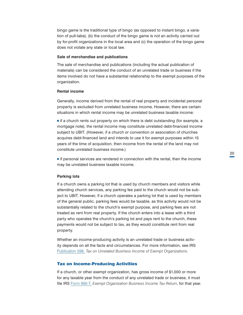<span id="page-23-0"></span>bingo game is the traditional type of bingo (as opposed to instant bingo, a variation of pull-tabs), (b) the conduct of the bingo game is not an activity carried out by for-profit organizations in the local area and (c) the operation of the bingo game does not violate any state or local law.

# **Sale of merchandise and publications**

The sale of merchandise and publications (including the actual publication of materials) can be considered the conduct of an unrelated trade or business if the items involved do not have a substantial relationship to the exempt purposes of the organization.

#### **Rental income**

Generally, income derived from the rental of real property and incidental personal property is excluded from unrelated business income. However, there are certain situations in which rental income may be unrelated business taxable income:

 $\blacksquare$  if a church rents out property on which there is debt outstanding (for example, a mortgage note), the rental income may constitute unrelated debt-financed income subject to UBIT. (However, if a church or convention or association of churches acquires debt-financed land and intends to use it for exempt purposes within 15 years of the time of acquisition, then income from the rental of the land may not constitute unrelated business income.)

<sup>n</sup> if personal services are rendered in connection with the rental, then the income may be unrelated business taxable income.

#### **Parking lots**

If a church owns a parking lot that is used by church members and visitors while attending church services, any parking fee paid to the church would not be subject to UBIT. However, if a church operates a parking lot that is used by members of the general public, parking fees would be taxable, as this activity would not be substantially related to the church's exempt purpose, and parking fees are not treated as rent from real property. If the church enters into a lease with a third party who operates the church's parking lot and pays rent to the church, these payments would not be subject to tax, as they would constitute rent from real property.

Whether an income-producing activity is an unrelated trade or business activity depends on all the facts and circumstances. For more information, see IRS [Publication 598,](http://www.irs.gov/pub/irs-pdf/p598.pdf) *Tax on Unrelated Business Income of Exempt Organizations.*

#### Tax on Income-Producing Activities

If a church, or other exempt organization, has gross income of \$1,000 or more for any taxable year from the conduct of any unrelated trade or business, it must file IRS [Form 990-T,](http://www.irs.gov/pub/irs-pdf/f990t.pdf) *Exempt Organization Business Income Tax Return*, for that year.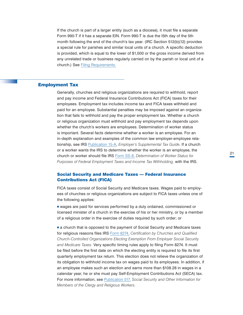<span id="page-24-0"></span>If the church is part of a larger entity (such as a diocese), it must file a separate Form 990-T if it has a separate EIN. Form 990-T is due the l5th day of the 5th month following the end of the church's tax year. (IRC Section 512(b)(12) provides a special rule for parishes and similar local units of a church. A specific deduction is provided, which is equal to the lower of \$1,000 or the gross income derived from any unrelated trade or business regularly carried on by the parish or local unit of a church.) See [Filing Requirements.](#page-30-0)

# Employment Tax

Generally, churches and religious organizations are required to withhold, report and pay income and Federal Insurance Contributions Act (FICA) taxes for their employees. Employment tax includes income tax and FICA taxes withheld and paid for an employee. Substantial penalties may be imposed against an organization that fails to withhold and pay the proper employment tax. Whether a church or religious organization must withhold and pay employment tax depends upon whether the church's workers are employees. Determination of worker status is important. Several facts determine whether a worker is an employee. For an in-depth explanation and examples of the common law employer-employee relationship, see IRS [Publication 15-A](http://www.irs.gov/publications/p15a/index.html), *Employer's Supplemental Tax Guide*. If a church or a worker wants the IRS to determine whether the worker is an employee, the church or worker should file IRS [Form SS-8](http://www.irs.gov/pub/irs-pdf/fss8.pdf), *Determination of Worker Status for Purposes of Federal Employment Taxes and Income Tax Withholding,* with the IRS.

# Social Security and Medicare Taxes — Federal Insurance Contributions Act (FICA)

FICA taxes consist of Social Security and Medicare taxes. Wages paid to employees of churches or religious organizations are subject to FICA taxes unless one of the following applies:

<sup>n</sup> wages are paid for services performed by a duly ordained, commissioned or licensed minister of a church in the exercise of his or her ministry, or by a member of a religious order in the exercise of duties required by such order; or

**a** church that is opposed to the payment of Social Security and Medicare taxes for religious reasons files IRS [Form 8274](http://www.irs.gov/pub/irs-pdf/f8274.pdf), *Certification by Churches and Qualified Church-Controlled Organizations Electing Exemption From Employer Social Security and Medicare Taxes.* Very specific timing rules apply to filing Form 8274. It must be filed before the first date on which the electing entity is required to file its first quarterly employment tax return. This election does not relieve the organization of its obligation to withhold income tax on wages paid to its employees. In addition, if an employee makes such an election and earns more than \$108.28 in wages in a calendar year, he or she must pay Self-Employment Contributions Act (SECA) tax. For more information, see [Publication 517,](http://www.irs.gov/pub/irs-pdf/p517.pdf) *Social Security and Other Information for Members of the Clergy and Religious Workers.*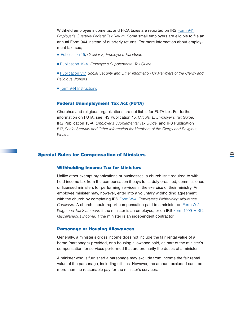<span id="page-25-0"></span>Withheld employee income tax and FICA taxes are reported on IRS [Form 941](http://www.irs.gov/pub/irs-pdf/f941.pdf), *Employer's Quarterly Federal Tax Return*. Some small employers are eligible to file an annual Form 944 instead of quarterly returns. For more information about employment tax, see;

- [Publication 15](http://www.irs.gov/pub/irs-pdf/p15.pdf), *Circular E, Employer's Tax Guide*
- <sup>n</sup> [Publication 15-A](http://www.irs.gov/pub/irs-pdf/p15a.pdf), *Employer's Supplemental Tax Guide*
- <sup>n</sup> [Publication 517](http://core.publish.no.irs.gov/pubs/pdf/p517--2014-00-00.pdf)[,](http://www.irs.gov/pub/irs-pdf/p517.pdf) *Social Security and Other Information for Members of the Clergy and Religious Workers*
- **[Form 944 Instructions](http://www.irs.gov/pub/irs-pdf/i944.pdf)**

#### Federal Unemployment Tax Act (FUTA)

Churches and religious organizations are not liable for FUTA tax. For further information on FUTA, see IRS Publication 15, *Circular E, Employer's Tax Guide*, IRS Publication 15-A, *Employer's Supplemental Tax Guide*, and IRS Publication 517, *Social Security and Other Information for Members of the Clergy and Religious Workers.*

# Special Rules for Compensation of Ministers

#### Withholding Income Tax for Ministers

Unlike other exempt organizations or businesses, a church isn't required to withhold income tax from the compensation it pays to its duly ordained, commissioned or licensed ministers for performing services in the exercise of their ministry. An employee minister may, however, enter into a voluntary withholding agreement with the church by completing IRS [Form W-4,](http://www.irs.gov/pub/irs-pdf/fw4.pdf) *Employee's Withholding Allowance Certificate.* A church should report compensation paid to a minister on [Form W-2,](http://www.irs.gov/pub/irs-pdf/fw2.pdf) *Wage and Tax Statement,* if the minister is an employee, or on IRS [Form 1099-MISC](http://www.irs.gov/pub/irs-pdf/f1099msc.pdf), *Miscellaneous Income,* if the minister is an independent contractor.

#### Parsonage or Housing Allowances

Generally, a minister's gross income does not include the fair rental value of a home (parsonage) provided, or a housing allowance paid, as part of the minister's compensation for services performed that are ordinarily the duties of a minister.

A minister who is furnished a parsonage may exclude from income the fair rental value of the parsonage, including utilities. However, the amount excluded can't be more than the reasonable pay for the minister's services.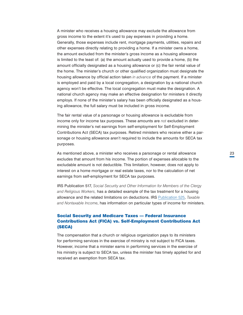<span id="page-26-0"></span>A minister who receives a housing allowance may exclude the allowance from gross income to the extent it's used to pay expenses in providing a home. Generally, those expenses include rent, mortgage payments, utilities, repairs and other expenses directly relating to providing a home. If a minister owns a home, the amount excluded from the minister's gross income as a housing allowance is limited to the least of: (a) the amount actually used to provide a home, (b) the amount officially designated as a housing allowance or (c) the fair rental value of the home. The minister's church or other qualified organization must designate the housing allowance by official action taken *in advance* of the payment. If a minister is employed and paid by a local congregation, a designation by a national church agency won't be effective. The local congregation must make the designation. A national church agency may make an effective designation for ministers it directly employs. If none of the minister's salary has been officially designated as a housing allowance, the full salary must be included in gross income.

The fair rental value of a parsonage or housing allowance is excludable from income only for income tax purposes. These amounts are *not* excluded in determining the minister's net earnings from self-employment for Self-Employment Contributions Act (SECA) tax purposes. Retired ministers who receive either a parsonage or housing allowance aren't required to include the amounts for SECA tax purposes.

As mentioned above, a minister who receives a parsonage or rental allowance excludes that amount from his income. The portion of expenses allocable to the excludable amount is not deductible. This limitation, however, does not apply to interest on a home mortgage or real estate taxes, nor to the calculation of net earnings from self-employment for SECA tax purposes.

IRS Publication 517, *Social Security and Other Information for Members of the Clergy and Religious Workers,* has a detailed example of the tax treatment for a housing allowance and the related limitations on deductions. IRS [Publication 525](http://www.irs.gov/pub/irs-pdf/p525.pdf), *Taxable and Nontaxable Income*, has information on particular types of income for ministers.

# Social Security and Medicare Taxes — Federal Insurance Contributions Act (FICA) vs. Self-Employment Contributions Act (SECA)

The compensation that a church or religious organization pays to its ministers for performing services in the exercise of ministry is not subject to FICA taxes. However, income that a minister earns in performing services in the exercise of his ministry is subject to SECA tax, unless the minister has timely applied for and received an exemption from SECA tax.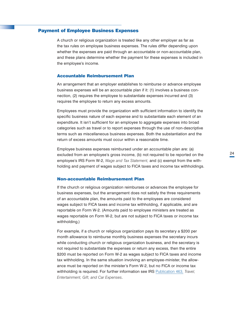# <span id="page-27-0"></span>Payment of Employee Business Expenses

A church or religious organization is treated like any other employer as far as the tax rules on employee business expenses. The rules differ depending upon whether the expenses are paid through an accountable or non-accountable plan, and these plans determine whether the payment for these expenses is included in the employee's income.

#### Accountable Reimbursement Plan

An arrangement that an employer establishes to reimburse or advance employee business expenses will be an accountable plan if it: (1) involves a business connection, (2) requires the employee to substantiate expenses incurred and (3) requires the employee to return any excess amounts.

Employees must provide the organization with sufficient information to identify the specific business nature of each expense and to substantiate each element of an expenditure. It isn't sufficient for an employee to aggregate expenses into broad categories such as travel or to report expenses through the use of non-descriptive terms such as miscellaneous business expenses. Both the substantiation and the return of excess amounts must occur within a reasonable time.

Employee business expenses reimbursed under an accountable plan are: (a) excluded from an employee's gross income, (b) not required to be reported on the employee's IRS Form W-2, *Wage and Tax Statement,* and (c) exempt from the withholding and payment of wages subject to FICA taxes and income tax withholdings.

# Non-accountable Reimbursement Plan

If the church or religious organization reimburses or advances the employee for business expenses, but the arrangement does not satisfy the three requirements of an accountable plan, the amounts paid to the employees are considered wages subject to FICA taxes and income tax withholding, if applicable, and are reportable on Form W-2. (Amounts paid to employee ministers are treated as wages reportable on Form W-2, but are not subject to FICA taxes or income tax withholding.)

For example, if a church or religious organization pays its secretary a \$200 per month allowance to reimburse monthly business expenses the secretary incurs while conducting church or religious organization business, and the secretary is not required to substantiate the expenses or return any excess, then the entire \$200 must be reported on Form W-2 as wages subject to FICA taxes and income tax withholding. In the same situation involving an employee-minister, the allowance must be reported on the minister's Form W-2, but no FICA or income tax withholding is required. For further information see IRS [Publication 463](http://www.irs.gov/pub/irs-pdf/p463.pdf), *Travel, Entertainment, Gift, and Car Expenses*.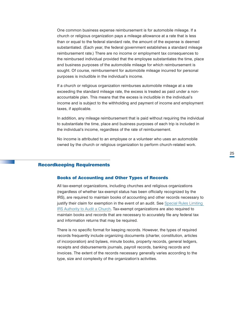<span id="page-28-0"></span>One common business expense reimbursement is for automobile mileage. If a church or religious organization pays a mileage allowance at a rate that is less than or equal to the federal standard rate, the amount of the expense is deemed substantiated. (Each year, the federal government establishes a standard mileage reimbursement rate.) There are no income or employment tax consequences to the reimbursed individual provided that the employee substantiates the time, place and business purposes of the automobile mileage for which reimbursement is sought. Of course, reimbursement for automobile mileage incurred for personal purposes is includible in the individual's income.

If a church or religious organization reimburses automobile mileage at a rate exceeding the standard mileage rate, the excess is treated as paid under a nonaccountable plan. This means that the excess is includible in the individual's income and is subject to the withholding and payment of income and employment taxes, if applicable.

In addition, any mileage reimbursement that is paid without requiring the individual to substantiate the time, place and business purposes of each trip is included in the individual's income, regardless of the rate of reimbursement.

No income is attributed to an employee or a volunteer who uses an automobile owned by the church or religious organization to perform church-related work.

# Recordkeeping Requirements

#### Books of Accounting and Other Types of Records

All tax-exempt organizations, including churches and religious organizations (regardless of whether tax-exempt status has been officially recognized by the IRS), are required to maintain books of accounting and other records necessary to justify their claim for exemption in the event of an audit. See Special Rules Limiting [IRS Authority to Audit a Church](#page-34-0). Tax-exempt organizations are also required to maintain books and records that are necessary to accurately file any federal tax and information returns that may be required.

There is no specific format for keeping records. However, the types of required records frequently include organizing documents (charter, constitution, articles of incorporation) and bylaws, minute books, property records, general ledgers, receipts and disbursements journals, payroll records, banking records and invoices. The extent of the records necessary generally varies according to the type, size and complexity of the organization's activities.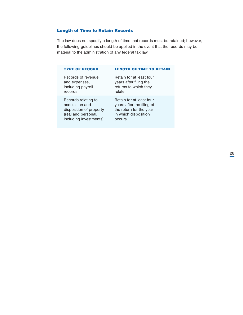# <span id="page-29-0"></span>Length of Time to Retain Records

The law does not specify a length of time that records must be retained; however, the following guidelines should be applied in the event that the records may be material to the administration of any federal tax law.

# TYPE OF RECORD LENGTH OF TIME TO RETAIN

Records of revenue Retain for at least four records. The relate.

Records relating to **Retain for at least four** 

and expenses, years after filing the including payroll returns to which they

acquisition and years after the filing of disposition of property the return for the year (real and personal, in which disposition including investments). occurs.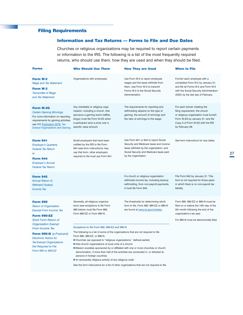# <span id="page-30-0"></span>Filing Requirements

# Information and Tax Returns — Forms to File and Due Dates

Churches or religious organizations may be required to report certain payments or information to the IRS. The following is a list of the most frequently required returns, who should use them, how they are used and when they should be filed.

| <b>Forms</b>                                                                                                                                                                                                                                                                                                                                      | <b>Who Should Use Them</b>                                                                                                                                                                                                                                                                                                                                                                                                                                                                                                                                                                                                                                                                                                 | <b>How They are Used</b>                                                                                                                                                                     | <b>When to File</b>                                                                                                                                                                                 |
|---------------------------------------------------------------------------------------------------------------------------------------------------------------------------------------------------------------------------------------------------------------------------------------------------------------------------------------------------|----------------------------------------------------------------------------------------------------------------------------------------------------------------------------------------------------------------------------------------------------------------------------------------------------------------------------------------------------------------------------------------------------------------------------------------------------------------------------------------------------------------------------------------------------------------------------------------------------------------------------------------------------------------------------------------------------------------------------|----------------------------------------------------------------------------------------------------------------------------------------------------------------------------------------------|-----------------------------------------------------------------------------------------------------------------------------------------------------------------------------------------------------|
| Form W-2<br><b>Wage and Tax Statement</b><br>Form W-3<br><b>Transmittal of Wage</b><br>and Tax Statement                                                                                                                                                                                                                                          | Organizations with employees.                                                                                                                                                                                                                                                                                                                                                                                                                                                                                                                                                                                                                                                                                              | Use Form W-2 to report employee<br>wages and the taxes withheld from<br>them. Use Form W-3 to transmit<br>Forms W-2 to the Social Security<br>Administration.                                | Furnish each employee with a<br>completed Form W-2 by January 31;<br>and file all Forms W-2 and Form W-3<br>with the Social Security Administration<br>(SSA) by the last day of February.           |
| Form W-2G<br><b>Certain Gaming Winnings</b><br>For more information on reporting<br>requirements for gaming activities,<br>see IRS Publication 3079, Tax-<br><b>Exempt Organizations and Gaming.</b>                                                                                                                                              | Any charitable or religious orga-<br>nization, including a church, that<br>sponsors a gaming event (raffles,<br>bingo) must file Form W-2G when<br>a participant wins a prize over a<br>specific value amount.                                                                                                                                                                                                                                                                                                                                                                                                                                                                                                             | The requirements for reporting and<br>withholding depend on the type of<br>gaming, the amount of winnings and<br>the ratio of winnings to the wager.                                         | For each winner meeting the<br>filing requirement, the church<br>or religious organization must furnish<br>Form W-2G by January 31; and file<br>Copy A of Form W-2G with the IRS<br>by February 28. |
| <b>Form 941</b><br><b>Employer's Quarterly</b><br><b>Federal Tax Return</b><br>$\cap$ r<br><b>Form 944</b><br><b>Employer's Annual</b><br><b>Federal Tax Return</b>                                                                                                                                                                               | Small employers that have been<br>notified by the IRS to file Form<br>944 (see form instructions) may<br>use that form; other employers<br>required to file must use Form 941.                                                                                                                                                                                                                                                                                                                                                                                                                                                                                                                                             | Use Form 941 or 944 to report Social<br>Security and Medicare taxes and income<br>taxes withheld by the organization, and<br>Social Security and Medicare taxes paid<br>by the organization. | See form instructions for due dates.                                                                                                                                                                |
| <b>Form 945</b><br><b>Annual Return of</b><br><b>Withheld Federal</b><br><b>Income Tax</b>                                                                                                                                                                                                                                                        |                                                                                                                                                                                                                                                                                                                                                                                                                                                                                                                                                                                                                                                                                                                            | If a church or religious organization<br>withholds income tax, including backup<br>withholding, from non-payroll payments,<br>it must file Form 945.                                         | File Form 945 by January 31. This<br>form is not required for those years<br>in which there is no non-payroll tax<br>liability.                                                                     |
| <b>Form 990</b><br><b>Return of Organization</b><br><b>Exempt From Income Tax</b><br><b>Form 990-EZ</b><br><b>Short Form Return of</b><br><b>Organization Exempt</b><br><b>From Income Tax</b><br>Form 990-N (e-Postcard)<br><b>Electronic Notice for</b><br><b>Tax-Exempt Organizations</b><br><b>Not Required to File</b><br>Form 990 or 990-EZ | Generally, all religious organiza-<br>tions (see exceptions to file Form<br>990 below) must file Form 990,<br>Form 990-EZ or Form 990-N.<br>Exceptions to file Form 990, 990-EZ and 990-N<br>The following is a list of some of the organizations that are not required to file<br>Form 990, 990-EZ, or 990-N.<br>■ Churches (as opposed to "religious organizations," defined earlier)<br>Inter-church organizations of local units of a church<br>In Mission societies sponsored by or affiliated with one or more churches or church<br>denomination, if more than half of the activities are conducted in, or directed at,<br>persons in foreign countries<br>An exclusively religious activity of any religious order | The thresholds for determining which<br>form to file, Form 990. 990-EZ or 990-N<br>are found at www.irs.gov/charities.                                                                       | Form 990, 990-EZ or 990-N must be<br>filed on or before the 15th day of the<br>5th month following the end of the<br>organization's tax year.<br>For 990-N must be electronically filed.            |
|                                                                                                                                                                                                                                                                                                                                                   | See the form instructions for a list of other organizations that are not required to file.                                                                                                                                                                                                                                                                                                                                                                                                                                                                                                                                                                                                                                 |                                                                                                                                                                                              |                                                                                                                                                                                                     |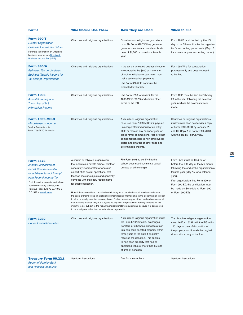| <b>Forms</b>                                                                                                                                                                                                                                                                              | <b>Who Should Use Them</b>                                                                                                                                                                                                                                                                                                                                                                                                                                                                                                                                                                                                                                                                                                                                                                                                                                  | <b>How They are Used</b>                                                                                                                                                                                                                                                                                                                                  | <b>When to File</b>                                                                                                                                                                                                                                                                                     |
|-------------------------------------------------------------------------------------------------------------------------------------------------------------------------------------------------------------------------------------------------------------------------------------------|-------------------------------------------------------------------------------------------------------------------------------------------------------------------------------------------------------------------------------------------------------------------------------------------------------------------------------------------------------------------------------------------------------------------------------------------------------------------------------------------------------------------------------------------------------------------------------------------------------------------------------------------------------------------------------------------------------------------------------------------------------------------------------------------------------------------------------------------------------------|-----------------------------------------------------------------------------------------------------------------------------------------------------------------------------------------------------------------------------------------------------------------------------------------------------------------------------------------------------------|---------------------------------------------------------------------------------------------------------------------------------------------------------------------------------------------------------------------------------------------------------------------------------------------------------|
| <b>Form 990-T</b><br><b>Exempt Organization</b><br><b>Business Income Tax Return</b><br>For more information on unrelated<br>business income, see Unrelated<br>Business Income Tax (UBIT).                                                                                                | Churches and religious organizations.                                                                                                                                                                                                                                                                                                                                                                                                                                                                                                                                                                                                                                                                                                                                                                                                                       | Churches and religious organizations<br>must file Form 990-T if they generate<br>gross income from an unrelated busi-<br>ness of \$1,000 or more for a taxable<br>year.                                                                                                                                                                                   | Form 990-T must be filed by the 15th<br>day of the 5th month after the organiza-<br>tion's accounting period ends (May 15<br>for a calendar year accounting period).                                                                                                                                    |
| <b>Form 990-W</b><br><b>Estimated Tax on Unrelated</b><br><b>Business Taxable Income for</b><br><b>Tax-Exempt Organizations</b>                                                                                                                                                           | Churches and religious organizations.                                                                                                                                                                                                                                                                                                                                                                                                                                                                                                                                                                                                                                                                                                                                                                                                                       | If the tax on unrelated business income<br>is expected to be \$500 or more, the<br>church or religious organization must<br>make estimated tax payments.<br>Use Form 990-W to compute the<br>estimated tax liability.                                                                                                                                     | Form 990-W is for computation<br>purposes only and does not need<br>to be filed.                                                                                                                                                                                                                        |
| <b>Form 1096</b><br><b>Annual Summary and</b><br>Transmittal of U.S.<br><b>Information Returns</b>                                                                                                                                                                                        | Churches and religious organizations.                                                                                                                                                                                                                                                                                                                                                                                                                                                                                                                                                                                                                                                                                                                                                                                                                       | Use Form 1096 to transmit Forms<br>1099-MISC, W-2G and certain other<br>forms to the IRS.                                                                                                                                                                                                                                                                 | Form 1096 must be filed by February<br>28 in the year following the calendar<br>year in which the payments were<br>made.                                                                                                                                                                                |
| <b>Form 1099-MISC</b><br><b>Miscellaneous Income</b><br>See the Instructions for<br>Form 1099-MISC for details.                                                                                                                                                                           | Churches and religious organizations.                                                                                                                                                                                                                                                                                                                                                                                                                                                                                                                                                                                                                                                                                                                                                                                                                       | A church or religious organization<br>must use Form 1099-MISC if it pays an<br>unincorporated individual or an entity<br>\$600 or more in any calendar year for<br>gross rents; commissions, fees or other<br>compensation paid to non-employees;<br>prizes and awards; or other fixed and<br>determinable income.                                        | Churches or religious organizations<br>must furnish each payee with a copy<br>of Form 1099-MISC by January 31;<br>and file Copy A of Form 1099-MISC<br>with the IRS by February 28.                                                                                                                     |
| <b>Form 5578</b><br><b>Annual Certification of</b><br><b>Racial Nondiscrimination</b><br>for a Private School Exempt<br>from Federal Income Tax<br>For information on racial and ethnic<br>nondiscriminatory policies, see<br>Revenue Procedure 75-50, 1975-2<br>C.B. 587 at www.irs.gov. | A church or religious organization<br>that operates a private school, whether<br>separately incorporated or operated<br>as part of its overall operations, that<br>teaches secular subjects and generally<br>complies with state law requirements<br>for public education.<br>Note: It is not considered racially discriminatory for a parochial school to select students on<br>the basis of membership in a religious denomination if membership in the denomination is open<br>to all on a racially nondiscriminatory basis. Further, a seminary, or other purely religious school,<br>that primarily teaches religious subjects usually with the purpose of training students for the<br>ministry, is not subject to the racially nondiscriminatory requirements because it is considered<br>to be a religious rather than an educational organization. | File Form 5578 to certify that the<br>school does not discriminate based<br>on race or ethnic origin.                                                                                                                                                                                                                                                     | Form 5578 must be filed on or<br>before the 15th day of the 5th month<br>following the end of the organization's<br>taxable year (May 15 for a calendar<br>year).<br>If an organization files Form 990 or<br>Form 990-EZ, the certification must<br>be made on Schedule A (Form 990<br>or Form 990-EZ). |
| <b>Form 8282</b><br><b>Donee Information Return</b>                                                                                                                                                                                                                                       | Churches and religious organizations.                                                                                                                                                                                                                                                                                                                                                                                                                                                                                                                                                                                                                                                                                                                                                                                                                       | A church or religious organization must<br>file Form 8282 if it sells, exchanges,<br>transfers or otherwise disposes of cer-<br>tain non-cash donated property within<br>three years of the date it originally<br>received the donation. This applies<br>to non-cash property that had an<br>appraised value of more than \$5,000<br>at time of donation. | The church or religious organization<br>must file Form 8282 with the IRS within<br>125 days of date of disposition of<br>the property; and furnish the original<br>donor with a copy of the form.                                                                                                       |
| <b>Treasury Form 90.22.1,</b><br><b>Report of Foreign Bank</b><br>and Financial Accounts                                                                                                                                                                                                  | See form instructions                                                                                                                                                                                                                                                                                                                                                                                                                                                                                                                                                                                                                                                                                                                                                                                                                                       | See form instructions                                                                                                                                                                                                                                                                                                                                     | See form instructions                                                                                                                                                                                                                                                                                   |

28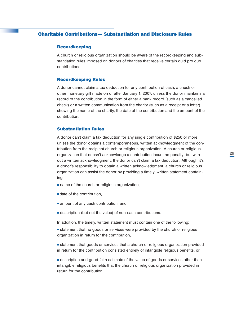# <span id="page-32-0"></span>Charitable Contributions— Substantiation and Disclosure Rules

#### Recordkeeping

A church or religious organization should be aware of the recordkeeping and substantiation rules imposed on donors of charities that receive certain quid pro quo contributions.

#### Recordkeeping Rules

A donor cannot claim a tax deduction for any contribution of cash, a check or other monetary gift made on or after January 1, 2007, unless the donor maintains a record of the contribution in the form of either a bank record (such as a cancelled check) or a written communication from the charity (such as a receipt or a letter) showing the name of the charity, the date of the contribution and the amount of the contribution.

#### Substantiation Rules

A donor can't claim a tax deduction for any single contribution of \$250 or more unless the donor obtains a contemporaneous, written acknowledgment of the contribution from the recipient church or religious organization. A church or religious organization that doesn't acknowledge a contribution incurs no penalty; but without a written acknowledgment, the donor can't claim a tax deduction. Although it's a donor's responsibility to obtain a written acknowledgment, a church or religious organization can assist the donor by providing a timely, written statement containing:

- $\blacksquare$  name of the church or religious organization,
- $\blacksquare$  date of the contribution,
- $\blacksquare$  amount of any cash contribution, and
- $\blacksquare$  description (but not the value) of non-cash contributions.
- In addition, the timely, written statement must contain one of the following:
- statement that no goods or services were provided by the church or religious organization in return for the contribution,
- statement that goods or services that a church or religious organization provided in return for the contribution consisted entirely of intangible religious benefits, or
- <sup>n</sup> description and good-faith estimate of the value of goods or services other than intangible religious benefits that the church or religious organization provided in return for the contribution.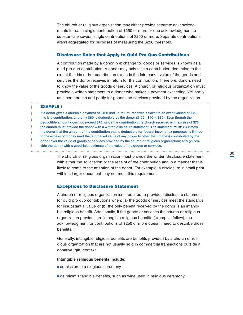<span id="page-33-0"></span>The church or religious organization may either provide separate acknowledgments for each single contribution of \$250 or more or one acknowledgment to substantiate several single contributions of \$250 or more. Separate contributions aren't aggregated for purposes of measuring the \$250 threshold.

#### Disclosure Rules that Apply to Quid Pro Quo Contributions

A contribution made by a donor in exchange for goods or services is known as a quid pro quo contribution. A donor may only take a contribution deduction to the extent that his or her contribution exceeds the fair market value of the goods and services the donor receives in return for the contribution. Therefore, donors need to know the value of the goods or services. A church or religious organization must provide a written statement to a donor who makes a payment exceeding \$75 partly as a contribution and partly for goods and services provided by the organization.

#### EXAMPLE 1

If a donor gives a church a payment of \$100 and, in return, receives a ticket to an event valued at \$40, this is a contribution, and only \$60 is deductible by the donor (\$100 - \$40 = \$60). Even though the deductible amount does not exceed \$75, since the contribution the church received is in excess of \$75, the church must provide the donor with a written disclosure statement. The statement must: (1) inform the donor that the amount of the contribution that is deductible for federal income tax purposes is limited to the excess of money (and the fair market value of any property other than money) contributed by the donor over the value of goods or services provided by the church or religious organization; and (2) provide the donor with a good-faith estimate of the value of the goods or services.

> The church or religious organization must provide the written disclosure statement with either the solicitation or the receipt of the contribution and in a manner that is likely to come to the attention of the donor. For example, a disclosure in small print within a larger document may not meet this requirement.

#### Exceptions to Disclosure Statement

A church or religious organization isn't required to provide a disclosure statement for quid pro quo contributions when: (a) the goods or services meet the standards for insubstantial value or (b) the only benefit received by the donor is an intangible religious benefit*.* Additionally, if the goods or services the church or religious organization provides are intangible religious benefits (examples follow), the acknowledgment for contributions of \$250 or more doesn't need to describe those benefits.

Generally, intangible religious benefits are benefits provided by a church or religious organization that are not usually sold in commercial transactions outside a donative (gift) context.

#### **Intangible religious benefits include:**

- admission to a religious ceremony
- <sup>n</sup> de minimis tangible benefits, such as wine used in religious ceremony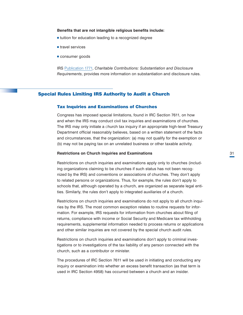#### <span id="page-34-0"></span>**Benefits that are not intangible religious benefits include:**

- $\blacksquare$  tuition for education leading to a recognized degree
- $\blacksquare$  travel services
- **consumer goods**

IRS [Publication 1771](http://www.irs.gov/pub/irs-pdf/p1771.pdf), *Charitable Contributions: Substantiation and Disclosure Requirements*, provides more information on substantiation and disclosure rules.

# Special Rules Limiting IRS Authority to Audit a Church

### Tax Inquiries and Examinations of Churches

Congress has imposed special limitations, found in IRC Section 7611, on how and when the IRS may conduct civil tax inquiries and examinations of churches. The IRS may only initiate a *c*hurch tax inquiry if an appropriate high-level Treasury Department official reasonably believes, based on a written statement of the facts and circumstances, that the organization: (a) may not qualify for the exemption or (b) may not be paying tax on an unrelated business or other taxable activity.

#### **Restrictions on Church Inquiries and Examinations**

Restrictions on church inquiries and examinations apply only to churches (including organizations claiming to be churches if such status has not been recognized by the IRS) and conventions or associations of churches. They don't apply to related persons or organizations. Thus, for example, the rules don't apply to schools that, although operated by a church, are organized as separate legal entities. Similarly, the rules don't apply to integrated auxiliaries of a church.

Restrictions on church inquiries and examinations do not apply to all church inquiries by the IRS. The most common exception relates to routine requests for information. For example, IRS requests for information from churches about filing of returns, compliance with income or Social Security and Medicare tax withholding requirements, supplemental information needed to process returns or applications and other similar inquiries are not covered by the special church audit rules.

Restrictions on church inquiries and examinations don't apply to criminal investigations or to investigations of the tax liability of any person connected with the church, such as a contributor or minister.

The procedures of IRC Section 7611 will be used in initiating and conducting any inquiry or examination into whether an excess benefit transaction (as that term is used in IRC Section 4958) has occurred between a church and an insider.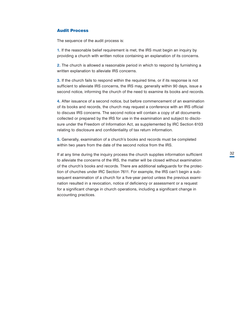# <span id="page-35-0"></span>Audit Process

The sequence of the audit process is:

**1.** If the reasonable belief requirement is met, the IRS must begin an inquiry by providing a church with written notice containing an explanation of its concerns.

**2.** The church is allowed a reasonable period in which to respond by furnishing a written explanation to alleviate IRS concerns.

**3.** If the church fails to respond within the required time, or if its response is not sufficient to alleviate IRS concerns, the IRS may, generally within 90 days, issue a second notice, informing the church of the need to examine its books and records.

**4.** After issuance of a second notice, but before commencement of an examination of its books and records, the church may request a conference with an IRS official to discuss IRS concerns. The second notice will contain a copy of all documents collected or prepared by the IRS for use in the examination and subject to disclosure under the Freedom of Information Act, as supplemented by IRC Section 6103 relating to disclosure and confidentiality of tax return information.

**5.** Generally, examination of a church's books and records must be completed within two years from the date of the second notice from the IRS.

If at any time during the inquiry process the church supplies information sufficient to alleviate the concerns of the IRS, the matter will be closed without examination of the church's books and records. There are additional safeguards for the protection of churches under IRC Section 7611. For example, the IRS can't begin a subsequent examination of a church for a five-year period unless the previous examination resulted in a revocation, notice of deficiency or assessment or a request for a significant change in church operations, including a significant change in accounting practices.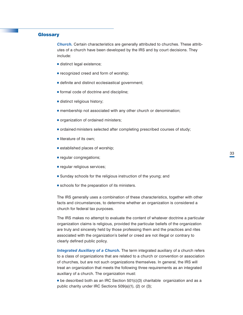# <span id="page-36-0"></span>**Glossary**

*Church.* Certain characteristics are generally attributed to churches. These attributes of a church have been developed by the IRS and by court decisions. They include:

- $\blacksquare$  distinct legal existence;
- $\blacksquare$  recognized creed and form of worship;
- $\blacksquare$  definite and distinct ecclesiastical government;
- <sup>n</sup> formal code of doctrine and discipline;
- $\blacksquare$  distinct religious history;
- **n** membership not associated with any other church or denomination;
- organization of ordained ministers;
- $\blacksquare$  ordained ministers selected after completing prescribed courses of study;
- $\blacksquare$  literature of its own;
- $\blacksquare$  established places of worship;
- **n** regular congregations;
- $\blacksquare$  regular religious services;
- **s** Sunday schools for the religious instruction of the young; and
- $\blacksquare$  schools for the preparation of its ministers.

The IRS generally uses a combination of these characteristics, together with other facts and circumstances, to determine whether an organization is considered a church for federal tax purposes.

The IRS makes no attempt to evaluate the content of whatever doctrine a particular organization claims is religious, provided the particular beliefs of the organization are truly and sincerely held by those professing them and the practices and rites associated with the organization's belief or creed are not illegal or contrary to clearly defined public policy.

*Integrated Auxiliary of a Church.* The term integrated auxiliary of a church refers to a class of organizations that are related to a church or convention or association of churches, but are not such organizations themselves. In general, the IRS will treat an organization that meets the following three requirements as an integrated auxiliary of a church. The organization must:

 $\blacksquare$  be described both as an IRC Section 501(c)(3) charitable organization and as a public charity under IRC Sections 509(a)(1), (2) or (3);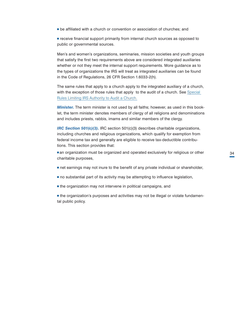<sup>n</sup> be affiliated with a church or convention or association of churches; and

<sup>n</sup> receive financial support primarily from internal church sources as opposed to public or governmental sources.

Men's and women's organizations, seminaries, mission societies and youth groups that satisfy the first two requirements above are considered integrated auxiliaries whether or not they meet the internal support requirements. More guidance as to the types of organizations the IRS will treat as integrated auxiliaries can be found in the Code of Regulations, 26 CFR Section 1.6033-2(h).

The same rules that apply to a church apply to the integrated auxiliary of a church, with the exception of those rules that apply to the audit of a church. See Special [Rules Limiting IRS Authority to Audit a Church.](#page-34-0)

*Minister.* The term minister is not used by all faiths; however, as used in this booklet, the term minister denotes members of clergy of all religions and denominations and includes priests, rabbis, imams and similar members of the clergy.

*IRC Section 501(c)(3).* IRC section 501(c)(3) describes charitable organizations, including churches and religious organizations, which qualify for exemption from federal income tax and generally are eligible to receive tax-deductible contributions. This section provides that:

nan organization must be organized and operated exclusively for religious or other charitable purposes,

- net earnings may not inure to the benefit of any private individual or shareholder,
- $\blacksquare$  no substantial part of its activity may be attempting to influence legislation,
- $\blacksquare$  the organization may not intervene in political campaigns, and

**n** the organization's purposes and activities may not be illegal or violate fundamental public policy.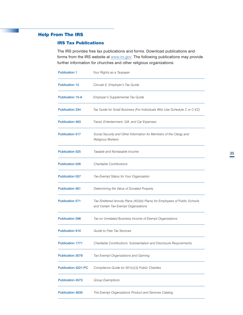# <span id="page-38-0"></span>Help From The IRS

# IRS Tax Publications

The IRS provides free tax publications and forms. Download publications and forms from the IRS website at *[www.irs.gov.](http://www.irs.gov)* The following publications may provide further information for churches and other religious organizations:

| <b>Publication 1</b>       | Your Rights as a Taxpayer                                                                                          |  |  |
|----------------------------|--------------------------------------------------------------------------------------------------------------------|--|--|
| <b>Publication 15</b>      | Circular E, Employer's Tax Guide                                                                                   |  |  |
| <b>Publication 15-A</b>    | Employer's Supplemental Tax Guide                                                                                  |  |  |
| <b>Publication 334</b>     | Tax Guide for Small Business (For Individuals Who Use Schedule C or C-EZ)                                          |  |  |
| <b>Publication 463</b>     | Travel, Entertainment, Gift, and Car Expenses                                                                      |  |  |
| <b>Publication 517</b>     | Social Security and Other Information for Members of the Clergy and<br><b>Religious Workers</b>                    |  |  |
| <b>Publication 525</b>     | Taxable and Nontaxable Income                                                                                      |  |  |
| <b>Publication 526</b>     | Charitable Contributions                                                                                           |  |  |
| <b>Publication 557</b>     | Tax-Exempt Status for Your Organization                                                                            |  |  |
| <b>Publication 561</b>     | Determining the Value of Donated Property                                                                          |  |  |
| <b>Publication 571</b>     | Tax-Sheltered Annuity Plans (403(b) Plans) for Employees of Public Schools<br>and Certain Tax-Exempt Organizations |  |  |
| <b>Publication 598</b>     | Tax on Unrelated Business Income of Exempt Organizations                                                           |  |  |
| <b>Publication 910</b>     | Guide to Free Tax Services                                                                                         |  |  |
| <b>Publication 1771</b>    | Charitable Contributions: Substantiation and Disclosure Requirements                                               |  |  |
| <b>Publication 3079</b>    | Tax-Exempt Organizations and Gaming                                                                                |  |  |
| <b>Publication 4221-PC</b> | Compliance Guide for 501(c)(3) Public Charities                                                                    |  |  |
| <b>Publication 4573</b>    | <b>Group Exemptions</b>                                                                                            |  |  |
| <b>Publication 4630</b>    | The Exempt Organizations Product and Services Catalog                                                              |  |  |